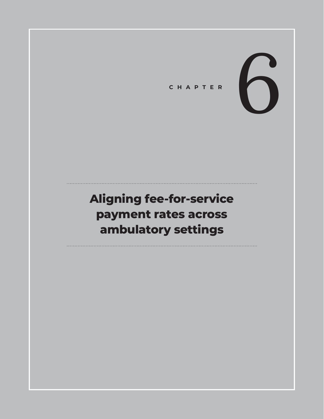

# **Aligning fee-for-service payment rates across ambulatory settings**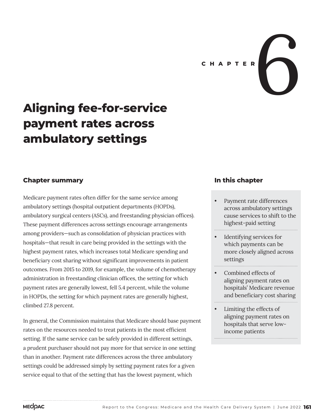

# **Aligning fee-for-service payment rates across ambulatory settings**

### **Chapter summary**

Medicare payment rates often differ for the same service among ambulatory settings (hospital outpatient departments (HOPDs), ambulatory surgical centers (ASCs), and freestanding physician offices). These payment differences across settings encourage arrangements among providers—such as consolidation of physician practices with hospitals—that result in care being provided in the settings with the highest payment rates, which increases total Medicare spending and beneficiary cost sharing without significant improvements in patient outcomes. From 2015 to 2019, for example, the volume of chemotherapy administration in freestanding clinician offices, the setting for which payment rates are generally lowest, fell 5.4 percent, while the volume in HOPDs, the setting for which payment rates are generally highest, climbed 27.8 percent.

In general, the Commission maintains that Medicare should base payment rates on the resources needed to treat patients in the most efficient setting. If the same service can be safely provided in different settings, a prudent purchaser should not pay more for that service in one setting than in another. Payment rate differences across the three ambulatory settings could be addressed simply by setting payment rates for a given service equal to that of the setting that has the lowest payment, which

#### **In this chapter**

- Payment rate differences across ambulatory settings cause services to shift to the highest-paid setting
- Identifying services for which payments can be more closely aligned across settings
- Combined effects of aligning payment rates on hospitals' Medicare revenue and beneficiary cost sharing
- Limiting the effects of aligning payment rates on hospitals that serve lowincome patients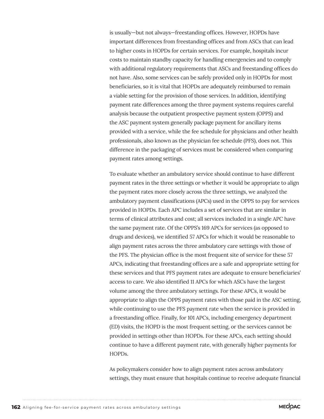is usually—but not always—freestanding offices. However, HOPDs have important differences from freestanding offices and from ASCs that can lead to higher costs in HOPDs for certain services. For example, hospitals incur costs to maintain standby capacity for handling emergencies and to comply with additional regulatory requirements that ASCs and freestanding offices do not have. Also, some services can be safely provided only in HOPDs for most beneficiaries, so it is vital that HOPDs are adequately reimbursed to remain a viable setting for the provision of those services. In addition, identifying payment rate differences among the three payment systems requires careful analysis because the outpatient prospective payment system (OPPS) and the ASC payment system generally package payment for ancillary items provided with a service, while the fee schedule for physicians and other health professionals, also known as the physician fee schedule (PFS), does not. This difference in the packaging of services must be considered when comparing payment rates among settings.

To evaluate whether an ambulatory service should continue to have different payment rates in the three settings or whether it would be appropriate to align the payment rates more closely across the three settings, we analyzed the ambulatory payment classifications (APCs) used in the OPPS to pay for services provided in HOPDs. Each APC includes a set of services that are similar in terms of clinical attributes and cost; all services included in a single APC have the same payment rate. Of the OPPS's 169 APCs for services (as opposed to drugs and devices), we identified 57 APCs for which it would be reasonable to align payment rates across the three ambulatory care settings with those of the PFS. The physician office is the most frequent site of service for these 57 APCs, indicating that freestanding offices are a safe and appropriate setting for these services and that PFS payment rates are adequate to ensure beneficiaries' access to care. We also identified 11 APCs for which ASCs have the largest volume among the three ambulatory settings. For these APCs, it would be appropriate to align the OPPS payment rates with those paid in the ASC setting, while continuing to use the PFS payment rate when the service is provided in a freestanding office. Finally, for 101 APCs, including emergency department (ED) visits, the HOPD is the most frequent setting, or the services cannot be provided in settings other than HOPDs. For these APCs, each setting should continue to have a different payment rate, with generally higher payments for **HOPDs** 

As policymakers consider how to align payment rates across ambulatory settings, they must ensure that hospitals continue to receive adequate financial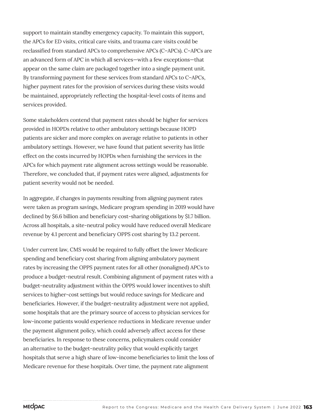support to maintain standby emergency capacity. To maintain this support, the APCs for ED visits, critical care visits, and trauma care visits could be reclassified from standard APCs to comprehensive APCs (C–APCs). C–APCs are an advanced form of APC in which all services—with a few exceptions—that appear on the same claim are packaged together into a single payment unit. By transforming payment for these services from standard APCs to C–APCs, higher payment rates for the provision of services during these visits would be maintained, appropriately reflecting the hospital-level costs of items and services provided.

Some stakeholders contend that payment rates should be higher for services provided in HOPDs relative to other ambulatory settings because HOPD patients are sicker and more complex on average relative to patients in other ambulatory settings. However, we have found that patient severity has little effect on the costs incurred by HOPDs when furnishing the services in the APCs for which payment rate alignment across settings would be reasonable. Therefore, we concluded that, if payment rates were aligned, adjustments for patient severity would not be needed.

In aggregate, if changes in payments resulting from aligning payment rates were taken as program savings, Medicare program spending in 2019 would have declined by \$6.6 billion and beneficiary cost-sharing obligations by \$1.7 billion. Across all hospitals, a site-neutral policy would have reduced overall Medicare revenue by 4.1 percent and beneficiary OPPS cost sharing by 13.2 percent.

Under current law, CMS would be required to fully offset the lower Medicare spending and beneficiary cost sharing from aligning ambulatory payment rates by increasing the OPPS payment rates for all other (nonaligned) APCs to produce a budget-neutral result. Combining alignment of payment rates with a budget-neutrality adjustment within the OPPS would lower incentives to shift services to higher-cost settings but would reduce savings for Medicare and beneficiaries. However, if the budget-neutrality adjustment were not applied, some hospitals that are the primary source of access to physician services for low-income patients would experience reductions in Medicare revenue under the payment alignment policy, which could adversely affect access for these beneficiaries. In response to these concerns, policymakers could consider an alternative to the budget-neutrality policy that would explicitly target hospitals that serve a high share of low-income beneficiaries to limit the loss of Medicare revenue for these hospitals. Over time, the payment rate alignment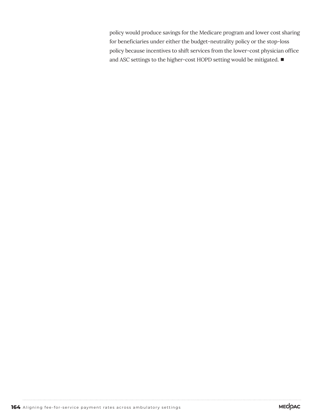policy would produce savings for the Medicare program and lower cost sharing for beneficiaries under either the budget-neutrality policy or the stop-loss policy because incentives to shift services from the lower-cost physician office and ASC settings to the higher-cost HOPD setting would be mitigated. ■

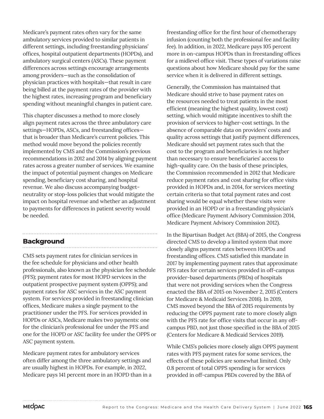Medicare's payment rates often vary for the same ambulatory services provided to similar patients in different settings, including freestanding physicians' offices, hospital outpatient departments (HOPDs), and ambulatory surgical centers (ASCs). These payment differences across settings encourage arrangements among providers—such as the consolidation of physician practices with hospitals—that result in care being billed at the payment rates of the provider with the highest rates, increasing program and beneficiary spending without meaningful changes in patient care.

This chapter discusses a method to more closely align payment rates across the three ambulatory care settings—HOPDs, ASCs, and freestanding offices that is broader than Medicare's current policies. This method would move beyond the policies recently implemented by CMS and the Commission's previous recommendations in 2012 and 2014 by aligning payment rates across a greater number of services. We examine the impact of potential payment changes on Medicare spending, beneficiary cost sharing, and hospital revenue. We also discuss accompanying budgetneutrality or stop-loss policies that would mitigate the impact on hospital revenue and whether an adjustment to payments for differences in patient severity would be needed.

# **Background**

CMS sets payment rates for clinician services in the fee schedule for physicians and other health professionals, also known as the physician fee schedule (PFS); payment rates for most HOPD services in the outpatient prospective payment system (OPPS); and payment rates for ASC services in the ASC payment system. For services provided in freestanding clinician offices, Medicare makes a single payment to the practitioner under the PFS. For services provided in HOPDs or ASCs, Medicare makes two payments: one for the clinician's professional fee under the PFS and one for the HOPD or ASC facility fee under the OPPS or ASC payment system.

Medicare payment rates for ambulatory services often differ among the three ambulatory settings and are usually highest in HOPDs. For example, in 2022, Medicare pays 141 percent more in an HOPD than in a freestanding office for the first hour of chemotherapy infusion (counting both the professional fee and facility fee). In addition, in 2022, Medicare pays 105 percent more in on-campus HOPDs than in freestanding offices for a midlevel office visit. These types of variations raise questions about how Medicare should pay for the same service when it is delivered in different settings.

Generally, the Commission has maintained that Medicare should strive to base payment rates on the resources needed to treat patients in the most efficient (meaning the highest quality, lowest cost) setting, which would mitigate incentives to shift the provision of services to higher-cost settings. In the absence of comparable data on providers' costs and quality across settings that justify payment differences, Medicare should set payment rates such that the cost to the program and beneficiaries is not higher than necessary to ensure beneficiaries' access to high-quality care. On the basis of these principles, the Commission recommended in 2012 that Medicare reduce payment rates and cost sharing for office visits provided in HOPDs and, in 2014, for services meeting certain criteria so that total payment rates and cost sharing would be equal whether these visits were provided in an HOPD or in a freestanding physician's office (Medicare Payment Advisory Commission 2014, Medicare Payment Advisory Commission 2012).

In the Bipartisan Budget Act (BBA) of 2015, the Congress directed CMS to develop a limited system that more closely aligns payment rates between HOPDs and freestanding offices. CMS satisfied this mandate in 2017 by implementing payment rates that approximate PFS rates for certain services provided in off-campus provider-based departments (PBDs) of hospitals that were not providing services when the Congress enacted the BBA of 2015 on November 2, 2015 (Centers for Medicare & Medicaid Services 2016). In 2019, CMS moved beyond the BBA of 2015 requirements by reducing the OPPS payment rate to more closely align with the PFS rate for office visits that occur in any offcampus PBD, not just those specified in the BBA of 2015 (Centers for Medicare & Medicaid Services 2019).

While CMS's policies more closely align OPPS payment rates with PFS payment rates for some services, the effects of these policies are somewhat limited. Only 0.8 percent of total OPPS spending is for services provided in off-campus PBDs covered by the BBA of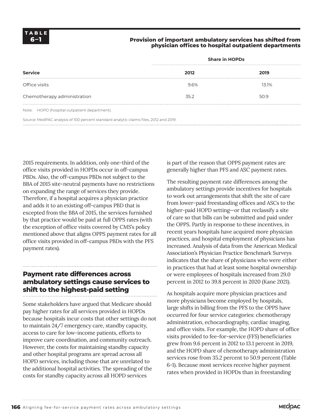#### **6–1 Provision of important ambulatory services has shifted from physician offices to hospital outpatient departments**

|                                                                                       | <b>Share in HOPDs</b> |       |
|---------------------------------------------------------------------------------------|-----------------------|-------|
| <b>Service</b>                                                                        | 2012                  | 2019  |
| Office visits                                                                         | 9.6%                  | 13.1% |
| Chemotherapy administration                                                           | 35.2                  | 50.9  |
| Note: HOPD (hospital outpatient department).                                          |                       |       |
| Source: MedPAC analysis of 100 percent standard analytic claims files, 2012 and 2019. |                       |       |

2015 requirements. In addition, only one-third of the office visits provided in HOPDs occur in off-campus PBDs. Also, the off-campus PBDs not subject to the BBA of 2015 site-neutral payments have no restrictions on expanding the range of services they provide. Therefore, if a hospital acquires a physician practice and adds it to an existing off-campus PBD that is excepted from the BBA of 2015, the services furnished by that practice would be paid at full OPPS rates (with the exception of office visits covered by CMS's policy mentioned above that aligns OPPS payment rates for all office visits provided in off-campus PBDs with the PFS payment rates).

## **Payment rate differences across ambulatory settings cause services to shift to the highest-paid setting**

Some stakeholders have argued that Medicare should pay higher rates for all services provided in HOPDs because hospitals incur costs that other settings do not to maintain 24/7 emergency care, standby capacity, access to care for low-income patients, efforts to improve care coordination, and community outreach. However, the costs for maintaining standby capacity and other hospital programs are spread across all HOPD services, including those that are unrelated to the additional hospital activities. The spreading of the costs for standby capacity across all HOPD services

is part of the reason that OPPS payment rates are generally higher than PFS and ASC payment rates.

The resulting payment rate differences among the ambulatory settings provide incentives for hospitals to work out arrangements that shift the site of care from lower-paid freestanding offices and ASCs to the higher-paid HOPD setting—or that reclassify a site of care so that bills can be submitted and paid under the OPPS. Partly in response to these incentives, in recent years hospitals have acquired more physician practices, and hospital employment of physicians has increased. Analysis of data from the American Medical Association's Physician Practice Benchmark Surveys indicates that the share of physicians who were either in practices that had at least some hospital ownership or were employees of hospitals increased from 29.0 percent in 2012 to 39.8 percent in 2020 (Kane 2021).

As hospitals acquire more physician practices and more physicians become employed by hospitals, large shifts in billing from the PFS to the OPPS have occurred for four service categories: chemotherapy administration, echocardiography, cardiac imaging, and office visits. For example, the HOPD share of office visits provided to fee-for-service (FFS) beneficiaries grew from 9.6 percent in 2012 to 13.1 percent in 2019, and the HOPD share of chemotherapy administration services rose from 35.2 percent to 50.9 percent (Table 6-1). Because most services receive higher payment rates when provided in HOPDs than in freestanding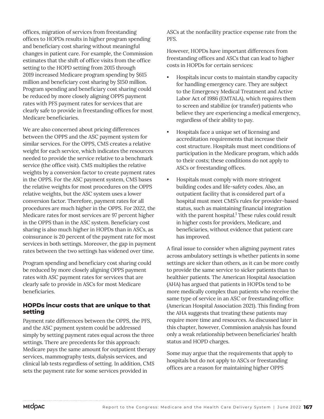offices, migration of services from freestanding offices to HOPDs results in higher program spending and beneficiary cost sharing without meaningful changes in patient care. For example, the Commission estimates that the shift of office visits from the office setting to the HOPD setting from 2015 through 2019 increased Medicare program spending by \$615 million and beneficiary cost sharing by \$150 million. Program spending and beneficiary cost sharing could be reduced by more closely aligning OPPS payment rates with PFS payment rates for services that are clearly safe to provide in freestanding offices for most Medicare beneficiaries.

We are also concerned about pricing differences between the OPPS and the ASC payment system for similar services. For the OPPS, CMS creates a relative weight for each service, which indicates the resources needed to provide the service relative to a benchmark service (the office visit). CMS multiplies the relative weights by a conversion factor to create payment rates in the OPPS. For the ASC payment system, CMS bases the relative weights for most procedures on the OPPS relative weights, but the ASC system uses a lower conversion factor. Therefore, payment rates for all procedures are much higher in the OPPS. For 2022, the Medicare rates for most services are 97 percent higher in the OPPS than in the ASC system. Beneficiary cost sharing is also much higher in HOPDs than in ASCs, as coinsurance is 20 percent of the payment rate for most services in both settings. Moreover, the gap in payment rates between the two settings has widened over time.

Program spending and beneficiary cost sharing could be reduced by more closely aligning OPPS payment rates with ASC payment rates for services that are clearly safe to provide in ASCs for most Medicare beneficiaries.

#### **HOPDs incur costs that are unique to that setting**

Payment rate differences between the OPPS, the PFS, and the ASC payment system could be addressed simply by setting payment rates equal across the three settings. There are precedents for this approach: Medicare pays the same amount for outpatient therapy services, mammography tests, dialysis services, and clinical lab tests regardless of setting. In addition, CMS sets the payment rate for some services provided in

ASCs at the nonfacility practice expense rate from the PFS.

However, HOPDs have important differences from freestanding offices and ASCs that can lead to higher costs in HOPDs for certain services:

- Hospitals incur costs to maintain standby capacity for handling emergency care. They are subject to the Emergency Medical Treatment and Active Labor Act of 1986 (EMTALA), which requires them to screen and stabilize (or transfer) patients who believe they are experiencing a medical emergency, regardless of their ability to pay.
- Hospitals face a unique set of licensing and accreditation requirements that increase their cost structure. Hospitals must meet conditions of participation in the Medicare program, which adds to their costs; these conditions do not apply to ASCs or freestanding offices.
- Hospitals must comply with more stringent building codes and life-safety codes. Also, an outpatient facility that is considered part of a hospital must meet CMS's rules for provider-based status, such as maintaining financial integration with the parent hospital.<sup>1</sup> These rules could result in higher costs for providers, Medicare, and beneficiaries, without evidence that patient care has improved.

A final issue to consider when aligning payment rates across ambulatory settings is whether patients in some settings are sicker than others, as it can be more costly to provide the same service to sicker patients than to healthier patients. The American Hospital Association (AHA) has argued that patients in HOPDs tend to be more medically complex than patients who receive the same type of service in an ASC or freestanding office (American Hospital Association 2021). This finding from the AHA suggests that treating these patients may require more time and resources. As discussed later in this chapter, however, Commission analysis has found only a weak relationship between beneficiaries' health status and HOPD charges.

Some may argue that the requirements that apply to hospitals but do not apply to ASCs or freestanding offices are a reason for maintaining higher OPPS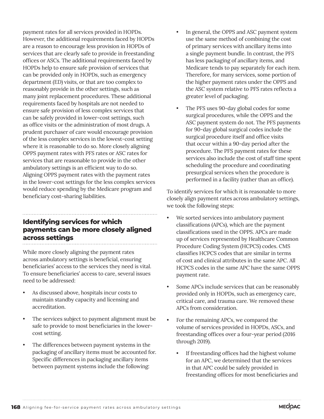payment rates for all services provided in HOPDs. However, the additional requirements faced by HOPDs are a reason to encourage less provision in HOPDs of services that are clearly safe to provide in freestanding offices or ASCs. The additional requirements faced by HOPDs help to ensure safe provision of services that can be provided only in HOPDs, such as emergency department (ED) visits, or that are too complex to reasonably provide in the other settings, such as many joint replacement procedures. These additional requirements faced by hospitals are not needed to ensure safe provision of less complex services that can be safely provided in lower-cost settings, such as office visits or the administration of most drugs. A prudent purchaser of care would encourage provision of the less complex services in the lowest-cost setting where it is reasonable to do so. More closely aligning OPPS payment rates with PFS rates or ASC rates for services that are reasonable to provide in the other ambulatory settings is an efficient way to do so. Aligning OPPS payment rates with the payment rates in the lower-cost settings for the less complex services would reduce spending by the Medicare program and beneficiary cost-sharing liabilities.

# **Identifying services for which payments can be more closely aligned across settings**

While more closely aligning the payment rates across ambulatory settings is beneficial, ensuring beneficiaries' access to the services they need is vital. To ensure beneficiaries' access to care, several issues need to be addressed:

- As discussed above, hospitals incur costs to maintain standby capacity and licensing and accreditation.
- The services subject to payment alignment must be safe to provide to most beneficiaries in the lowercost setting.
- The differences between payment systems in the packaging of ancillary items must be accounted for. Specific differences in packaging ancillary items between payment systems include the following:
- In general, the OPPS and ASC payment system use the same method of combining the cost of primary services with ancillary items into a single payment bundle. In contrast, the PFS has less packaging of ancillary items, and Medicare tends to pay separately for each item. Therefore, for many services, some portion of the higher payment rates under the OPPS and the ASC system relative to PFS rates reflects a greater level of packaging.
- The PFS uses 90-day global codes for some surgical procedures, while the OPPS and the ASC payment system do not. The PFS payments for 90-day global surgical codes include the surgical procedure itself and office visits that occur within a 90-day period after the procedure. The PFS payment rates for these services also include the cost of staff time spent scheduling the procedure and coordinating presurgical services when the procedure is performed in a facility (rather than an office).

To identify services for which it is reasonable to more closely align payment rates across ambulatory settings, we took the following steps:

- We sorted services into ambulatory payment classifications (APCs), which are the payment classifications used in the OPPS. APCs are made up of services represented by Healthcare Common Procedure Coding System (HCPCS) codes. CMS classifies HCPCS codes that are similar in terms of cost and clinical attributes in the same APC. All HCPCS codes in the same APC have the same OPPS payment rate.
- Some APCs include services that can be reasonably provided only in HOPDs, such as emergency care, critical care, and trauma care. We removed these APCs from consideration.
- For the remaining APCs, we compared the volume of services provided in HOPDs, ASCs, and freestanding offices over a four-year period (2016 through 2019).
	- If freestanding offices had the highest volume for an APC, we determined that the services in that APC could be safely provided in freestanding offices for most beneficiaries and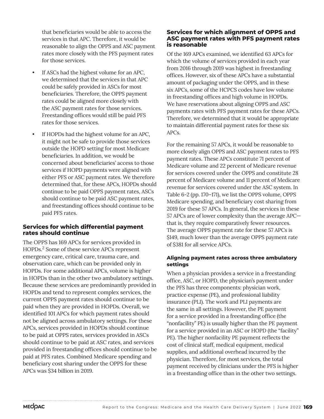that beneficiaries would be able to access the services in that APC. Therefore, it would be reasonable to align the OPPS and ASC payment rates more closely with the PFS payment rates for those services.

- If ASCs had the highest volume for an APC, we determined that the services in that APC could be safely provided in ASCs for most beneficiaries. Therefore, the OPPS payment rates could be aligned more closely with the ASC payment rates for those services. Freestanding offices would still be paid PFS rates for those services.
- If HOPDs had the highest volume for an APC, it might not be safe to provide those services outside the HOPD setting for most Medicare beneficiaries. In addition, we would be concerned about beneficiaries' access to those services if HOPD payments were aligned with either PFS or ASC payment rates. We therefore determined that, for these APCs, HOPDs should continue to be paid OPPS payment rates, ASCs should continue to be paid ASC payment rates, and freestanding offices should continue to be paid PFS rates.

#### **Services for which differential payment rates should continue**

The OPPS has 169 APCs for services provided in HOPDs.<sup>2</sup> Some of these service APCs represent emergency care, critical care, trauma care, and observation care, which can be provided only in HOPDs. For some additional APCs, volume is higher in HOPDs than in the other two ambulatory settings. Because these services are predominantly provided in HOPDs and tend to represent complex services, the current OPPS payment rates should continue to be paid when they are provided in HOPDs. Overall, we identified 101 APCs for which payment rates should not be aligned across ambulatory settings. For these APCs, services provided in HOPDs should continue to be paid at OPPS rates, services provided in ASCs should continue to be paid at ASC rates, and services provided in freestanding offices should continue to be paid at PFS rates. Combined Medicare spending and beneficiary cost sharing under the OPPS for these APCs was \$34 billion in 2019.

#### **Services for which alignment of OPPS and ASC payment rates with PFS payment rates is reasonable**

Of the 169 APCs examined, we identified 63 APCs for which the volume of services provided in each year from 2016 through 2019 was highest in freestanding offices. However, six of these APCs have a substantial amount of packaging under the OPPS, and in these six APCs, some of the HCPCS codes have low volume in freestanding offices and high volume in HOPDs. We have reservations about aligning OPPS and ASC payments rates with PFS payment rates for these APCs. Therefore, we determined that it would be appropriate to maintain differential payment rates for these six APCs.

For the remaining 57 APCs, it would be reasonable to more closely align OPPS and ASC payment rates to PFS payment rates. These APCs constitute 71 percent of Medicare volume and 22 percent of Medicare revenue for services covered under the OPPS and constitute 28 percent of Medicare volume and 11 percent of Medicare revenue for services covered under the ASC system. In Table 6-2 (pp. 170–171), we list the OPPS volume, OPPS Medicare spending, and beneficiary cost sharing from 2019 for these 57 APCs. In general, the services in these 57 APCs are of lower complexity than the average APC that is, they require comparatively fewer resources. The average OPPS payment rate for these 57 APCs is \$149, much lower than the average OPPS payment rate of \$381 for all service APCs.

#### **Aligning payment rates across three ambulatory settings**

When a physician provides a service in a freestanding office, ASC, or HOPD, the physician's payment under the PFS has three components: physician work, practice expense (PE), and professional liability insurance (PLI). The work and PLI payments are the same in all settings. However, the PE payment for a service provided in a freestanding office (the "nonfacility" PE) is usually higher than the PE payment for a service provided in an ASC or HOPD (the "facility" PE). The higher nonfacility PE payment reflects the cost of clinical staff, medical equipment, medical supplies, and additional overhead incurred by the physician. Therefore, for most services, the total payment received by clinicians under the PFS is higher in a freestanding office than in the other two settings.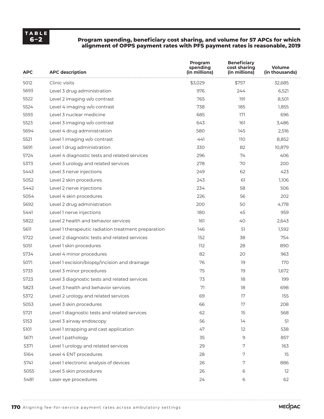#### **6–2 Program spending, beneficiary cost sharing, and volume for 57 APCs for which alignment of OPPS payment rates with PFS payment rates is reasonable, 2019**

| <b>APC</b> | <b>APC description</b>                              | Program<br>spending<br>(in millions) | <b>Beneficiary</b><br>cost sharing<br>(in millions) | <b>Volume</b><br>(in thousands) |
|------------|-----------------------------------------------------|--------------------------------------|-----------------------------------------------------|---------------------------------|
| 5012       | Clinic visits                                       | \$3,029                              | \$757                                               | 32,685                          |
| 5693       | Level 3 drug administration                         | 976                                  | 244                                                 | 6,521                           |
| 5522       | Level 2 imaging w/o contrast                        | 765                                  | 191                                                 | 8,501                           |
| 5524       | Level 4 imaging w/o contrast                        | 738                                  | 185                                                 | 1,855                           |
| 5593       | Level 3 nuclear medicine                            | 685                                  | 171                                                 | 696                             |
| 5523       | Level 3 imaging w/o contrast                        | 643                                  | 161                                                 | 3,486                           |
| 5694       | Level 4 drug administration                         | 580                                  | 145                                                 | 2,516                           |
| 5521       | Level 1 imaging w/o contrast                        | 441                                  | 110                                                 | 8,852                           |
| 5691       | Level 1 drug administration                         | 330                                  | 82                                                  | 10,879                          |
| 5724       | Level 4 diagnostic tests and related services       | 296                                  | 74                                                  | 406                             |
| 5373       | Level 3 urology and related services                | 278                                  | 70                                                  | 200                             |
| 5443       | Level 3 nerve injections                            | 249                                  | 62                                                  | 423                             |
| 5052       | Level 2 skin procedures                             | 243                                  | 61                                                  | 1,106                           |
| 5442       | Level 2 nerve injections                            | 234                                  | 58                                                  | 506                             |
| 5054       | Level 4 skin procedures                             | 226                                  | 56                                                  | 202                             |
| 5692       | Level 2 drug administration                         | 200                                  | 50                                                  | 4,178                           |
| 5441       | Level 1 nerve injections                            | 180                                  | 45                                                  | 959                             |
| 5822       | Level 2 health and behavior services                | 161                                  | 40                                                  | 2,643                           |
| 5611       | Level 1 therapeutic radiation treatment preparation | 146                                  | 51                                                  | 1,592                           |
| 5722       | Level 2 diagnostic tests and related services       | 152                                  | 38                                                  | 754                             |
| 5051       | Level 1 skin procedures                             | 112                                  | 28                                                  | 890                             |
| 5734       | Level 4 minor procedures                            | 82                                   | 20                                                  | 963                             |
| 5071       | Level 1 excision/biopsy/incision and drainage       | 76                                   | 19                                                  | 170                             |
| 5733       | Level 3 minor procedures                            | 75                                   | 19                                                  | 1,672                           |
| 5723       | Level 3 diagnostic tests and related services       | 73                                   | 18                                                  | 199                             |
| 5823       | Level 3 health and behavior services                | 71                                   | 18                                                  | 698                             |
| 5372       | Level 2 urology and related services                | 69                                   | $17\,$                                              | 155                             |
| 5053       | Level 3 skin procedures                             | 66                                   | 17                                                  | 208                             |
| 5721       | Level 1 diagnostic tests and related services       | 62                                   | 15                                                  | 568                             |
| 5153       | Level 3 airway endoscopy                            | 56                                   | 14                                                  | 51                              |
| 5101       | Level 1 strapping and cast application              | 47                                   | 12                                                  | 538                             |
| 5671       | Level 1 pathology                                   | 35                                   | 9                                                   | 857                             |
| 5371       | Level 1 urology and related services                | 29                                   | 7                                                   | 163                             |
| 5164       | Level 4 ENT procedures                              | 28                                   | 7                                                   | 15                              |
| 5741       | Level 1 electronic analysis of devices              | 26                                   | 7                                                   | 886                             |
| 5055       | Level 5 skin procedures                             | 26                                   | 6                                                   | 12                              |
| 5481       | Laser eye procedures                                | 24                                   | 6                                                   | 62                              |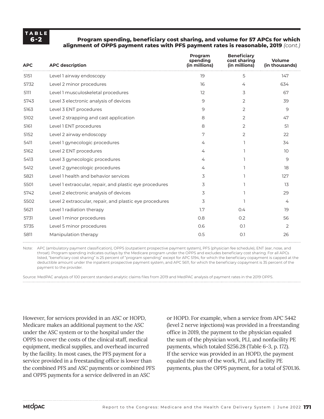#### **TABLE 6-2**

#### **Program spending, beneficiary cost sharing, and volume for 57 APCs for which alignment of OPPS payment rates with PFS payment rates is reasonable, 2019** *(cont.)*

| <b>APC</b> | <b>APC description</b>                                  | Program<br>spending<br>(in millions) | <b>Beneficiary</b><br>cost sharing<br>(in millions) | Volume<br>(in thousands) |
|------------|---------------------------------------------------------|--------------------------------------|-----------------------------------------------------|--------------------------|
| 5151       | Level 1 airway endoscopy                                | 19                                   | 5                                                   | 147                      |
| 5732       | Level 2 minor procedures                                | 16                                   | 4                                                   | 634                      |
| 5111       | Level 1 musculoskeletal procedures                      | 12                                   | 3                                                   | 67                       |
| 5743       | Level 3 electronic analysis of devices                  | 9                                    | 2                                                   | 39                       |
| 5163       | Level 3 ENT procedures                                  | 9                                    | 2                                                   | 9                        |
| 5102       | Level 2 strapping and cast application                  | 8                                    | $\overline{2}$                                      | 47                       |
| 5161       | Level 1 ENT procedures                                  | 8                                    | 2                                                   | 51                       |
| 5152       | Level 2 airway endoscopy                                | 7                                    | 2                                                   | 22                       |
| 5411       | Level 1 gynecologic procedures                          | 4                                    | ı                                                   | 34                       |
| 5162       | Level 2 ENT procedures                                  | 4                                    |                                                     | 10                       |
| 5413       | Level 3 gynecologic procedures                          | 4                                    | ı                                                   | 9                        |
| 5412       | Level 2 gynecologic procedures                          | 4                                    |                                                     | 18                       |
| 5821       | Level 1 health and behavior services                    | 3                                    |                                                     | 127                      |
| 5501       | Level 1 extraocular, repair, and plastic eye procedures | 3                                    |                                                     | 13                       |
| 5742       | Level 2 electronic analysis of devices                  | 3                                    | ı                                                   | 29                       |
| 5502       | Level 2 extraocular, repair, and plastic eye procedures | 3                                    |                                                     | 4                        |
| 5621       | Level 1 radiation therapy                               | 1.7                                  | 0.4                                                 | 19                       |
| 5731       | Level 1 minor procedures                                | 0.8                                  | 0.2                                                 | 56                       |
| 5735       | Level 5 minor procedures                                | 0.6                                  | O.1                                                 | 2                        |
| 5811       | Manipulation therapy                                    | 0.5                                  | O.1                                                 | 26                       |
|            |                                                         |                                      |                                                     |                          |

Note: APC (ambulatory payment classification), OPPS (outpatient prospective payment system), PFS (physician fee schedule), ENT (ear, nose, and throat). Program spending indicates outlays by the Medicare program under the OPPS and excludes beneficiary cost sharing. For all APCs listed, "beneficiary cost sharing" is 25 percent of "program spending" except for APC 5194, for which the beneficiary copayment is capped at the deductible amount under the inpatient prospective payment system, and APC 5611, for which the beneficiary copayment is 35 percent of the payment to the provider.

Source: MedPAC analysis of 100 percent standard analytic claims files from 2019 and MedPAC analysis of payment rates in the 2019 OPPS.

However, for services provided in an ASC or HOPD, Medicare makes an additional payment to the ASC under the ASC system or to the hospital under the OPPS to cover the costs of the clinical staff, medical equipment, medical supplies, and overhead incurred by the facility. In most cases, the PFS payment for a service provided in a freestanding office is lower than the combined PFS and ASC payments or combined PFS and OPPS payments for a service delivered in an ASC

or HOPD. For example, when a service from APC 5442 (level 2 nerve injections) was provided in a freestanding office in 2019, the payment to the physician equaled the sum of the physician work, PLI, and nonfacility PE payments, which totaled \$256.28 (Table 6-3, p. 172). If the service was provided in an HOPD, the payment equaled the sum of the work, PLI, and facility PE payments, plus the OPPS payment, for a total of \$701.16.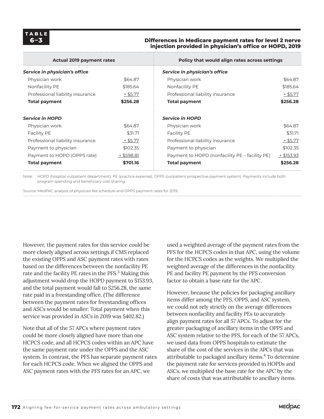#### **6–3 Differences in Medicare payment rates for level 2 nerve injection provided in physician's office or HOPD, 2019**

| <b>Actual 2019 payment rates</b> |            | Policy that would align rates across settings  |            |
|----------------------------------|------------|------------------------------------------------|------------|
| Service in physician's office    |            | Service in physician's office                  |            |
| Physician work                   | \$64.87    | Physician work                                 | \$64.87    |
| Nonfacility PE                   | \$185.64   | Nonfacility PE                                 | \$185.64   |
| Professional liability insurance | + \$5.77   | Professional liability insurance               | $+$ \$5.77 |
| <b>Total payment</b>             | \$256.28   | <b>Total payment</b>                           | \$256.28   |
| <b>Service in HOPD</b>           |            | <b>Service in HOPD</b>                         |            |
| Physician work                   | \$64.87    | Physician work                                 | \$64.87    |
| <b>Facility PE</b>               | \$31.71    | Facility PE                                    | \$31.71    |
| Professional liability insurance | + \$5.77   | Professional liability insurance               | + \$5.77   |
| Payment to physician             | \$102.35   | Payment to physician                           | \$102.35   |
| Payment to HOPD (OPPS rate)      | + \$598.81 | Payment to HOPD (nonfacility PE – facility PE) | + \$153.93 |
| <b>Total payment</b>             | \$701.16   | <b>Total payment</b>                           | \$256.28   |

Note: HOPD (hospital outpatient department), PE (practice expense), OPPS (outpatient prospective payment system). Payments include both program spending and beneficiary cost sharing.

Source: MedPAC analysis of physician fee schedule and OPPS payment rates for 2019.

However, the payment rates for this service could be more closely aligned across settings if CMS replaced the existing OPPS and ASC payment rates with rates based on the differences between the nonfacility PE rate and the facility PE rates in the PFS. $^3$  Making this adjustment would drop the HOPD payment to \$153.93, and the total payment would fall to \$256.28, the same rate paid in a freestanding office. (The difference between the payment rates for freestanding offices and ASCs would be smaller: Total payment when this service was provided in ASCs in 2019 was \$402.82.)

Note that all of the 57 APCs where payment rates could be more closely aligned have more than one HCPCS code, and all HCPCS codes within an APC have the same payment rate under the OPPS and the ASC system. In contrast, the PFS has separate payment rates for each HCPCS code. When we aligned the OPPS and ASC payment rates with the PFS rates for an APC, we

used a weighted average of the payment rates from the PFS for the HCPCS codes in that APC, using the volume for the HCPCS codes as the weights. We multiplied the weighted average of the differences in the nonfacility PE and facility PE payment by the PFS conversion factor to obtain a base rate for the APC.

However, because the policies for packaging ancillary items differ among the PFS, OPPS, and ASC system, we could not rely strictly on the average differences between nonfacility and facility PEs to accurately align payment rates for all 57 APCs. To adjust for the greater packaging of ancillary items in the OPPS and ASC system relative to the PFS, for each of the 57 APCs, we used data from OPPS hospitals to estimate the share of the cost of the services in the APCs that was attributable to packaged ancillary items.<sup>4</sup> To determine the payment rate for services provided in HOPDs and ASCs, we multiplied the base rate for the APC by the share of costs that was attributable to ancillary items.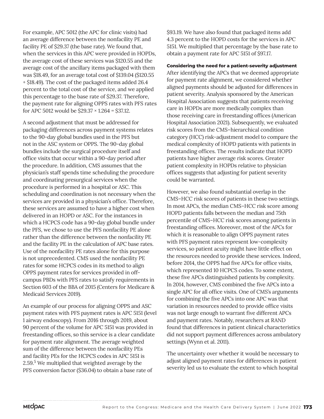For example, APC 5012 (the APC for clinic visits) had an average difference between the nonfacility PE and facility PE of \$29.37 (the base rate). We found that, when the services in this APC were provided in HOPDs, the average cost of these services was \$120.55 and the average cost of the ancillary items packaged with them was \$18.49, for an average total cost of \$139.04 (\$120.55 + \$18.49). The cost of the packaged items added 26.4 percent to the total cost of the service, and we applied this percentage to the base rate of \$29.37. Therefore, the payment rate for aligning OPPS rates with PFS rates for APC 5012 would be  $$29.37 \times 1.264 = $37.12$ .

A second adjustment that must be addressed for packaging differences across payment systems relates to the 90-day global bundles used in the PFS but not in the ASC system or OPPS. The 90-day global bundles include the surgical procedure itself and office visits that occur within a 90-day period after the procedure. In addition, CMS assumes that the physician's staff spends time scheduling the procedure and coordinating presurgical services when the procedure is performed in a hospital or ASC. This scheduling and coordination is not necessary when the services are provided in a physician's office. Therefore, these services are assumed to have a higher cost when delivered in an HOPD or ASC. For the instances in which a HCPCS code has a 90-day global bundle under the PFS, we chose to use the PFS nonfacility PE alone rather than the difference between the nonfacility PE and the facility PE in the calculation of APC base rates. Use of the nonfacility PE rates alone for this purpose is not unprecedented. CMS used the nonfacility PE rates for some HCPCS codes in its method to align OPPS payment rates for services provided in offcampus PBDs with PFS rates to satisfy requirements in Section 603 of the BBA of 2015 (Centers for Medicare & Medicaid Services 2019).

An example of our process for aligning OPPS and ASC payment rates with PFS payment rates is APC 5151 (level 1 airway endoscopy). From 2016 through 2019, about 90 percent of the volume for APC 5151 was provided in freestanding offices, so this service is a clear candidate for payment rate alignment. The average weighted sum of the difference between the nonfacility PEs and facility PEs for the HCPCS codes in APC 5151 is 2.59. $^5$  We multiplied that weighted average by the PFS conversion factor (\$36.04) to obtain a base rate of

\$93.19. We have also found that packaged items add 4.3 percent to the HOPD costs for the services in APC 5151. We multiplied that percentage by the base rate to obtain a payment rate for APC 5151 of \$97.17.

**Considering the need for a patient-severity adjustment** After identifying the APCs that we deemed appropriate for payment rate alignment, we considered whether aligned payments should be adjusted for differences in patient severity. Analysis sponsored by the American Hospital Association suggests that patients receiving care in HOPDs are more medically complex than those receiving care in freestanding offices (American Hospital Association 2021). Subsequently, we evaluated risk scores from the CMS–hierarchical condition category (HCC) risk-adjustment model to compare the medical complexity of HOPD patients with patients in freestanding offices. The results indicate that HOPD patients have higher average risk scores. Greater patient complexity in HOPDs relative to physician offices suggests that adjusting for patient severity could be warranted.

However, we also found substantial overlap in the CMS–HCC risk scores of patients in these two settings. In most APCs, the median CMS–HCC risk score among HOPD patients falls between the median and 75th percentile of CMS–HCC risk scores among patients in freestanding offices. Moreover, most of the APCs for which it is reasonable to align OPPS payment rates with PFS payment rates represent low-complexity services, so patient acuity might have little effect on the resources needed to provide these services. Indeed, before 2014, the OPPS had five APCs for office visits, which represented 10 HCPCS codes. To some extent, these five APCs distinguished patients by complexity. In 2014, however, CMS combined the five APCs into a single APC for all office visits. One of CMS's arguments for combining the five APCs into one APC was that variation in resources needed to provide office visits was not large enough to warrant five different APCs and payment rates. Notably, researchers at RAND found that differences in patient clinical characteristics did not support payment differences across ambulatory settings (Wynn et al. 2011).

The uncertainty over whether it would be necessary to adjust aligned payment rates for differences in patient severity led us to evaluate the extent to which hospital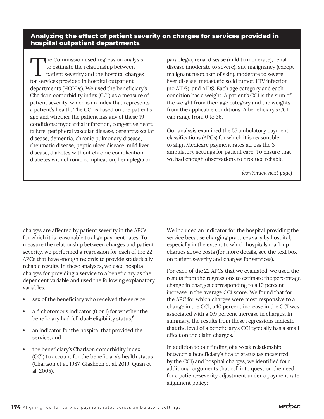### **Analyzing the effect of patient severity on charges for services provided in hospital outpatient departments**

The Commission used regression analysis<br>
to estimate the relationship between<br>
patient severity and the hospital charges<br>
for services are<br>
stable in hegainst currentient to estimate the relationship between for services provided in hospital outpatient departments (HOPDs). We used the beneficiary's Charlson comorbidity index (CCI) as a measure of patient severity, which is an index that represents a patient's health. The CCI is based on the patient's age and whether the patient has any of these 19 conditions: myocardial infarction, congestive heart failure, peripheral vascular disease, cerebrovascular disease, dementia, chronic pulmonary disease, rheumatic disease, peptic ulcer disease, mild liver disease, diabetes without chronic complication, diabetes with chronic complication, hemiplegia or

paraplegia, renal disease (mild to moderate), renal disease (moderate to severe), any malignancy (except malignant neoplasm of skin), moderate to severe liver disease, metastatic solid tumor, HIV infection (no AIDS), and AIDS. Each age category and each condition has a weight. A patient's CCI is the sum of the weight from their age category and the weights from the applicable conditions. A beneficiary's CCI can range from 0 to 36.

Our analysis examined the 57 ambulatory payment classifications (APCs) for which it is reasonable to align Medicare payment rates across the 3 ambulatory settings for patient care. To ensure that we had enough observations to produce reliable

*(continued next page)*

charges are affected by patient severity in the APCs for which it is reasonable to align payment rates. To measure the relationship between charges and patient severity, we performed a regression for each of the 22 APCs that have enough records to provide statistically reliable results. In these analyses, we used hospital charges for providing a service to a beneficiary as the dependent variable and used the following explanatory variables:

- sex of the beneficiary who received the service,
- a dichotomous indicator (0 or 1) for whether the beneficiary had full dual-eligibility status, $6$
- an indicator for the hospital that provided the service, and
- the beneficiary's Charlson comorbidity index (CCI) to account for the beneficiary's health status (Charlson et al. 1987, Glasheen et al. 2019, Quan et al. 2005).

We included an indicator for the hospital providing the service because charging practices vary by hospital, especially in the extent to which hospitals mark up charges above costs (for more details, see the text box on patient severity and charges for services).

For each of the 22 APCs that we evaluated, we used the results from the regressions to estimate the percentage change in charges corresponding to a 10 percent increase in the average CCI score. We found that for the APC for which charges were most responsive to a change in the CCI, a 10 percent increase in the CCI was associated with a 0.9 percent increase in charges. In summary, the results from these regressions indicate that the level of a beneficiary's CCI typically has a small effect on the claim charges.

In addition to our finding of a weak relationship between a beneficiary's health status (as measured by the CCI) and hospital charges, we identified four additional arguments that call into question the need for a patient-severity adjustment under a payment rate alignment policy: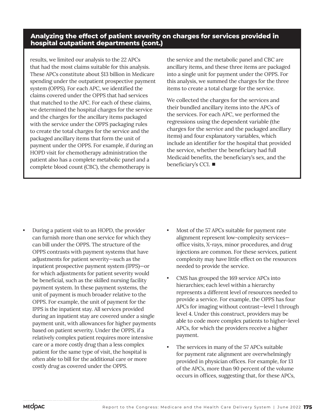### **Analyzing the effect of patient severity on charges for services provided in hospital outpatient departments (cont.)**

results, we limited our analysis to the 22 APCs that had the most claims suitable for this analysis. These APCs constitute about \$13 billion in Medicare spending under the outpatient prospective payment system (OPPS). For each APC, we identified the claims covered under the OPPS that had services that matched to the APC. For each of these claims, we determined the hospital charges for the service and the charges for the ancillary items packaged with the service under the OPPS packaging rules to create the total charges for the service and the packaged ancillary items that form the unit of payment under the OPPS. For example, if during an HOPD visit for chemotherapy administration the patient also has a complete metabolic panel and a complete blood count (CBC), the chemotherapy is

the service and the metabolic panel and CBC are ancillary items, and these three items are packaged into a single unit for payment under the OPPS. For this analysis, we summed the charges for the three items to create a total charge for the service.

We collected the charges for the services and their bundled ancillary items into the APCs of the services. For each APC, we performed the regressions using the dependent variable (the charges for the service and the packaged ancillary items) and four explanatory variables, which include an identifier for the hospital that provided the service, whether the beneficiary had full Medicaid benefits, the beneficiary's sex, and the beneficiary's CCI. ■

- During a patient visit to an HOPD, the provider can furnish more than one service for which they can bill under the OPPS. The structure of the OPPS contrasts with payment systems that have adjustments for patient severity—such as the inpatient prospective payment system (IPPS)—or for which adjustments for patient severity would be beneficial, such as the skilled nursing facility payment system. In these payment systems, the unit of payment is much broader relative to the OPPS. For example, the unit of payment for the IPPS is the inpatient stay. All services provided during an inpatient stay are covered under a single payment unit, with allowances for higher payments based on patient severity. Under the OPPS, if a relatively complex patient requires more intensive care or a more costly drug than a less complex patient for the same type of visit, the hospital is often able to bill for the additional care or more costly drug as covered under the OPPS.
- Most of the 57 APCs suitable for payment rate alignment represent low-complexity services office visits, X-rays, minor procedures, and drug injections are common. For these services, patient complexity may have little effect on the resources needed to provide the service.
- CMS has grouped the 169 service APCs into hierarchies; each level within a hierarchy represents a different level of resources needed to provide a service. For example, the OPPS has four APCs for imaging without contrast—level 1 through level 4. Under this construct, providers may be able to code more complex patients to higher-level APCs, for which the providers receive a higher payment.
- The services in many of the 57 APCs suitable for payment rate alignment are overwhelmingly provided in physician offices. For example, for 13 of the APCs, more than 90 percent of the volume occurs in offices, suggesting that, for these APCs,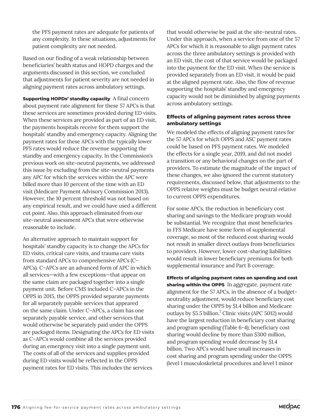the PFS payment rates are adequate for patients of any complexity. In these situations, adjustments for patient complexity are not needed.

Based on our finding of a weak relationship between beneficiaries' health status and HOPD charges and the arguments discussed in this section, we concluded that adjustments for patient severity are not needed in aligning payment rates across ambulatory settings.

**Supporting HOPDs' standby capacity** A final concern about payment rate alignment for these 57 APCs is that these services are sometimes provided during ED visits. When these services are provided as part of an ED visit, the payments hospitals receive for them support the hospitals' standby and emergency capacity. Aligning the payment rates for these APCs with the typically lower PFS rates would reduce the revenue supporting the standby and emergency capacity. In the Commission's previous work on site-neutral payments, we addressed this issue by excluding from the site-neutral payments any APC for which the services within the APC were billed more than 10 percent of the time with an ED visit (Medicare Payment Advisory Commission 2013). However, the 10 percent threshold was not based on any empirical result, and we could have used a different cut point. Also, this approach eliminated from our site-neutral assessment APCs that were otherwise reasonable to include.

An alternative approach to maintain support for hospitals' standby capacity is to change the APCs for ED visits, critical care visits, and trauma care visits from standard APCs to comprehensive APCs (C– APCs). C–APCs are an advanced form of APC in which all services—with a few exceptions—that appear on the same claim are packaged together into a single payment unit. Before CMS included C–APCs in the OPPS in 2015, the OPPS provided separate payments for all separately payable services that appeared on the same claim. Under C–APCs, a claim has one separately payable service, and other services that would otherwise be separately paid under the OPPS are packaged items. Designating the APCs for ED visits as C–APCs would combine all the services provided during an emergency visit into a single payment unit. The costs of all of the services and supplies provided during ED visits would be reflected in the OPPS payment rates for ED visits. This includes the services

that would otherwise be paid at the site-neutral rates. Under this approach, when a service from one of the 57 APCs for which it is reasonable to align payment rates across the three ambulatory settings is provided with an ED visit, the cost of that service would be packaged into the payment for the ED visit. When the service is provided separately from an ED visit, it would be paid at the aligned payment rate. Also, the flow of revenue supporting the hospitals' standby and emergency capacity would not be diminished by aligning payments across ambulatory settings.

#### **Effects of aligning payment rates across three ambulatory settings**

We modeled the effects of aligning payment rates for the 57 APCs for which OPPS and ASC payment rates could be based on PFS payment rates. We modeled the effects for a single year, 2019, and did not model a transition or any behavioral changes on the part of providers. To estimate the magnitude of the impact of these changes, we also ignored the current statutory requirements, discussed below, that adjustments to the OPPS relative weights must be budget neutral relative to current OPPS expenditures.

For some APCs, the reduction in beneficiary cost sharing and savings to the Medicare program would be substantial. We recognize that most beneficiaries in FFS Medicare have some form of supplemental coverage, so most of the reduced cost sharing would not result in smaller direct outlays from beneficiaries to providers. However, lower cost-sharing liabilities would result in lower beneficiary premiums for both supplemental insurance and Part B coverage.

**Effects of aligning payment rates on spending and cost sharing within the OPPS** In aggregate, payment rate alignment for the 57 APCs, in the absence of a budgetneutrality adjustment, would reduce beneficiary cost sharing under the OPPS by \$1.4 billion and Medicare outlays by \$5.5 billion.<sup>7</sup> Clinic visits (APC 5012) would have the largest reduction in beneficiary cost sharing and program spending (Table 6-4); beneficiary cost sharing would decline by more than \$300 million, and program spending would decrease by \$1.4 billion. Two APCs would have small increases in cost sharing and program spending under the OPPS (level 1 musculoskeletal procedures and level 1 minor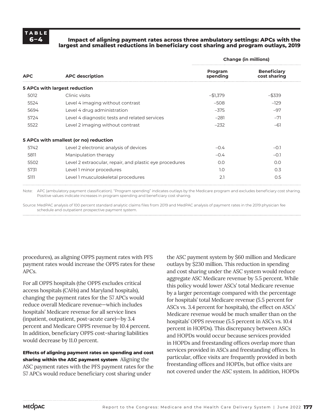#### **6–4 Impact of aligning payment rates across three ambulatory settings: APCs with the largest and smallest reductions in beneficiary cost sharing and program outlays, 2019**

|            |                                                         | <b>Change (in millions)</b> |                                    |  |
|------------|---------------------------------------------------------|-----------------------------|------------------------------------|--|
| <b>APC</b> | <b>APC description</b>                                  | Program<br>spending         | <b>Beneficiary</b><br>cost sharing |  |
|            | <b>5 APCs with largest reduction</b>                    |                             |                                    |  |
| 5012       | Clinic visits                                           | $-$ \$1.379                 | $-$ \$339                          |  |
| 5524       | Level 4 imaging without contrast                        | $-508$                      | $-129$                             |  |
| 5694       | Level 4 drug administration                             | $-375$                      | $-97$                              |  |
| 5724       | Level 4 diagnostic tests and related services           | $-281$                      | $-71$                              |  |
| 5522       | Level 2 imaging without contrast                        | $-232$                      | $-61$                              |  |
|            | 5 APCs with smallest (or no) reduction                  |                             |                                    |  |
| 5742       | Level 2 electronic analysis of devices                  | $-0.4$                      | $-0.1$                             |  |
| 5811       | Manipulation therapy                                    | $-0.4$                      | $-0.1$                             |  |
| 5502       | Level 2 extraocular, repair, and plastic eye procedures | 0.0                         | 0.0                                |  |
| 5731       | Level 1 minor procedures                                | 1.0                         | 0.3                                |  |
| 5111       | Level 1 musculoskeletal procedures                      | 2.1                         | 0.5                                |  |

Note: APC (ambulatory payment classification). "Program spending" indicates outlays by the Medicare program and excludes beneficiary cost sharing. Positive values indicate increases in program spending and beneficiary cost sharing.

Source: MedPAC analysis of 100 percent standard analytic claims files from 2019 and MedPAC analysis of payment rates in the 2019 physician fee schedule and outpatient prospective payment system.

procedures), as aligning OPPS payment rates with PFS payment rates would increase the OPPS rates for these APCs.

For all OPPS hospitals (the OPPS excludes critical access hospitals (CAHs) and Maryland hospitals), changing the payment rates for the 57 APCs would reduce overall Medicare revenue—which includes hospitals' Medicare revenue for all service lines (inpatient, outpatient, post-acute care)—by 3.4 percent and Medicare OPPS revenue by 10.4 percent. In addition, beneficiary OPPS cost-sharing liabilities would decrease by 11.0 percent.

**Effects of aligning payment rates on spending and cost sharing within the ASC payment system** Aligning the ASC payment rates with the PFS payment rates for the 57 APCs would reduce beneficiary cost sharing under

the ASC payment system by \$60 million and Medicare outlays by \$230 million. This reduction in spending and cost sharing under the ASC system would reduce aggregate ASC Medicare revenue by 5.5 percent. While this policy would lower ASCs' total Medicare revenue by a larger percentage compared with the percentage for hospitals' total Medicare revenue (5.5 percent for ASCs vs. 3.4 percent for hospitals), the effect on ASCs' Medicare revenue would be much smaller than on the hospitals' OPPS revenue (5.5 percent in ASCs vs. 10.4 percent in HOPDs). This discrepancy between ASCs and HOPDs would occur because services provided in HOPDs and freestanding offices overlap more than services provided in ASCs and freestanding offices. In particular, office visits are frequently provided in both freestanding offices and HOPDs, but office visits are not covered under the ASC system. In addition, HOPDs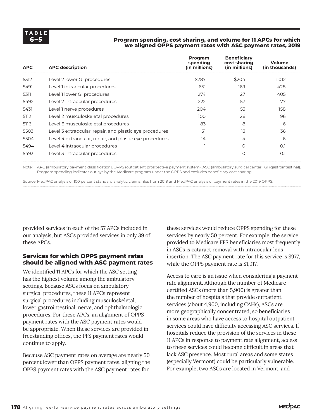#### **6–5 Program spending, cost sharing, and volume for 11 APCs for which we aligned OPPS payment rates with ASC payment rates, 2019**

| <b>APC</b> | <b>APC description</b>                                  | Program<br>spending<br>(in millions) | <b>Beneficiary</b><br>cost sharing<br>(in millions) | Volume<br>(in thousands) |
|------------|---------------------------------------------------------|--------------------------------------|-----------------------------------------------------|--------------------------|
| 5312       | Level 2 lower GI procedures                             | \$787                                | \$204                                               | 1,012                    |
| 5491       | Level 1 intraocular procedures                          | 651                                  | 169                                                 | 428                      |
| 5311       | Level 1 lower GI procedures                             | 274                                  | 27                                                  | 405                      |
| 5492       | Level 2 intraocular procedures                          | 222                                  | 57                                                  | 77                       |
| 5431       | Level 1 nerve procedures                                | 204                                  | 53                                                  | 158                      |
| 5112       | Level 2 musculoskeletal procedures                      | 100                                  | 26                                                  | 96                       |
| 5116       | Level 6 musculoskeletal procedures                      | 83                                   | 8                                                   | 6                        |
| 5503       | Level 3 extraocular, repair, and plastic eye procedures | 51                                   | 13                                                  | 36                       |
| 5504       | Level 4 extraocular, repair, and plastic eye procedures | 14                                   | 4                                                   | 6                        |
| 5494       | Level 4 intraocular procedures                          |                                      | $\Omega$                                            | 0.1                      |
| 5493       | Level 3 intraocular procedures                          |                                      | O                                                   | O.1                      |

Note: APC (ambulatory payment classification), OPPS (outpatient prospective payment system), ASC (ambulatory surgical center), GI (gastrointestinal). Program spending indicates outlays by the Medicare program under the OPPS and excludes beneficiary cost sharing.

Source: MedPAC analysis of 100 percent standard analytic claims files from 2019 and MedPAC analysis of payment rates in the 2019 OPPS.

provided services in each of the 57 APCs included in our analysis, but ASCs provided services in only 39 of these APCs.

#### **Services for which OPPS payment rates should be aligned with ASC payment rates**

We identified 11 APCs for which the ASC setting has the highest volume among the ambulatory settings. Because ASCs focus on ambulatory surgical procedures, these 11 APCs represent surgical procedures including musculoskeletal, lower gastrointestinal, nerve, and ophthalmologic procedures. For these APCs, an alignment of OPPS payment rates with the ASC payment rates would be appropriate. When these services are provided in freestanding offices, the PFS payment rates would continue to apply.

Because ASC payment rates on average are nearly 50 percent lower than OPPS payment rates, aligning the OPPS payment rates with the ASC payment rates for

these services would reduce OPPS spending for these services by nearly 50 percent. For example, the service provided to Medicare FFS beneficiaries most frequently in ASCs is cataract removal with intraocular lens insertion. The ASC payment rate for this service is \$977, while the OPPS payment rate is \$1,917.

Access to care is an issue when considering a payment rate alignment. Although the number of Medicarecertified ASCs (more than 5,900) is greater than the number of hospitals that provide outpatient services (about 4,900, including CAHs), ASCs are more geographically concentrated, so beneficiaries in some areas who have access to hospital outpatient services could have difficulty accessing ASC services. If hospitals reduce the provision of the services in these 11 APCs in response to payment rate alignment, access to these services could become difficult in areas that lack ASC presence. Most rural areas and some states (especially Vermont) could be particularly vulnerable. For example, two ASCs are located in Vermont, and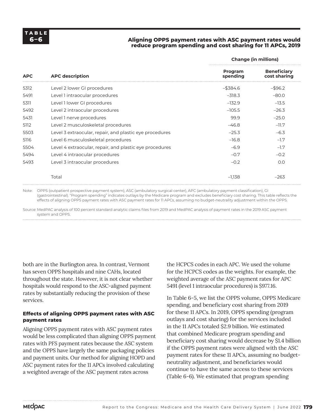#### **6–6 Aligning OPPS payment rates with ASC payment rates would reduce program spending and cost sharing for 11 APCs, 2019**

|            |                                                         | <b>Change (in millions)</b> |                                    |  |
|------------|---------------------------------------------------------|-----------------------------|------------------------------------|--|
| <b>APC</b> | <b>APC</b> description                                  | Program<br>spending         | <b>Beneficiary</b><br>cost sharing |  |
| 5312       | Level 2 lower GI procedures                             | $-$ \$384.6                 | $-$ \$96.2                         |  |
| 5491       | Level 1 intraocular procedures                          | $-318.3$                    | $-80.0$                            |  |
| 5311       | Level 1 lower GI procedures                             | $-132.9$                    | $-13.5$                            |  |
| 5492       | Level 2 intraocular procedures                          | $-105.5$                    | $-26.3$                            |  |
| 5431       | Level 1 nerve procedures                                | 99.9                        | $-25.0$                            |  |
| 5112       | Level 2 musculoskeletal procedures                      | $-46.8$                     | $-11.7$                            |  |
| 5503       | Level 3 extraocular, repair, and plastic eye procedures | $-25.3$                     | $-6.3$                             |  |
| 5116       | Level 6 musculoskeletal procedures                      | $-16.8$                     | $-1.7$                             |  |
| 5504       | Level 4 extraocular, repair, and plastic eye procedures | $-6.9$                      | $-1.7$                             |  |
| 5494       | Level 4 intraocular procedures                          | $-0.7$                      | $-0.2$                             |  |
| 5493       | Level 3 intraocular procedures                          | $-0.2$                      | O.O                                |  |
|            | Total                                                   | $-1,138$                    | $-263$                             |  |

Note: OPPS (outpatient prospective payment system), ASC (ambulatory surgical center), APC (ambulatory payment classification), GI (gastrointestinal). "Program spending" indicates outlays by the Medicare program and excludes beneficiary cost sharing. This table reflects the effects of aligning OPPS payment rates with ASC payment rates for 11 APCs, assuming no budget-neutrality adjustment within the OPPS.

Source: MedPAC analysis of 100 percent standard analytic claims files from 2019 and MedPAC analysis of payment rates in the 2019 ASC payment system and OPPS.

both are in the Burlington area. In contrast, Vermont has seven OPPS hospitals and nine CAHs, located throughout the state. However, it is not clear whether hospitals would respond to the ASC-aligned payment rates by substantially reducing the provision of these services.

#### **Effects of aligning OPPS payment rates with ASC payment rates**

Aligning OPPS payment rates with ASC payment rates would be less complicated than aligning OPPS payment rates with PFS payment rates because the ASC system and the OPPS have largely the same packaging policies and payment units. Our method for aligning HOPD and ASC payment rates for the 11 APCs involved calculating a weighted average of the ASC payment rates across

the HCPCS codes in each APC. We used the volume for the HCPCS codes as the weights. For example, the weighted average of the ASC payment rates for APC 5491 (level 1 intraocular procedures) is \$977.16.

In Table 6-5, we list the OPPS volume, OPPS Medicare spending, and beneficiary cost sharing from 2019 for these 11 APCs. In 2019, OPPS spending (program outlays and cost sharing) for the services included in the 11 APCs totaled \$2.9 billion. We estimated that combined Medicare program spending and beneficiary cost sharing would decrease by \$1.4 billion if the OPPS payment rates were aligned with the ASC payment rates for these 11 APCs, assuming no budgetneutrality adjustment, and beneficiaries would continue to have the same access to these services (Table 6-6). We estimated that program spending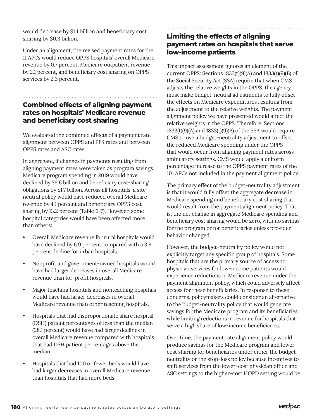would decrease by \$1.1 billion and beneficiary cost sharing by \$0.3 billion.

Under an alignment, the revised payment rates for the 11 APCs would reduce OPPS hospitals' overall Medicare revenue by 0.7 percent, Medicare outpatient revenue by 2.1 percent, and beneficiary cost sharing on OPPS services by 2.3 percent.

# **Combined effects of aligning payment rates on hospitals' Medicare revenue and beneficiary cost sharing**

We evaluated the combined effects of a payment rate alignment between OPPS and PFS rates and between OPPS rates and ASC rates.

In aggregate, if changes in payments resulting from aligning payment rates were taken as program savings, Medicare program spending in 2019 would have declined by \$6.6 billion and beneficiary cost-sharing obligations by \$1.7 billion. Across all hospitals, a siteneutral policy would have reduced overall Medicare revenue by 4.1 percent and beneficiary OPPS cost sharing by 13.2 percent (Table 6-7). However, some hospital categories would have been affected more than others:

- Overall Medicare revenue for rural hospitals would have declined by 6.9 percent compared with a 3.8 percent decline for urban hospitals.
- Nonprofit and government-owned hospitals would have had larger decreases in overall Medicare revenue than for-profit hospitals.
- Major teaching hospitals and nonteaching hospitals would have had larger decreases in overall Medicare revenue than other teaching hospitals.
- Hospitals that had disproportionate share hospital (DSH) patient percentages of less than the median (28.1 percent) would have had larger declines in overall Medicare revenue compared with hospitals that had DSH patient percentages above the median.
- Hospitals that had 100 or fewer beds would have had larger decreases in overall Medicare revenue than hospitals that had more beds.

# **Limiting the effects of aligning payment rates on hospitals that serve low-income patients**

This impact assessment ignores an element of the current OPPS: Sections 1833(t)(9)(A) and 1833(t)(9)(B) of the Social Security Act (SSA) require that when CMS adjusts the relative weights in the OPPS, the agency must make budget-neutral adjustments to fully offset the effects on Medicare expenditures resulting from the adjustment to the relative weights. The payment alignment policy we have presented would affect the relative weights in the OPPS. Therefore, Sections 1833(t)(9)(A) and 1833(t)(9)(B) of the SSA would require CMS to use a budget-neutrality adjustment to offset the reduced Medicare spending under the OPPS that would occur from aligning payment rates across ambulatory settings. CMS would apply a uniform percentage increase to the OPPS payment rates of the 101 APCs not included in the payment alignment policy.

The primary effect of the budget-neutrality adjustment is that it would fully offset the aggregate decrease in Medicare spending and beneficiary cost sharing that would result from the payment alignment policy. That is, the net change in aggregate Medicare spending and beneficiary cost sharing would be zero, with no savings for the program or for beneficiaries unless provider behavior changed.

However, the budget-neutrality policy would not explicitly target any specific group of hospitals. Some hospitals that are the primary source of access to physician services for low-income patients would experience reductions in Medicare revenue under the payment alignment policy, which could adversely affect access for these beneficiaries. In response to these concerns, policymakers could consider an alternative to the budget-neutrality policy that would generate savings for the Medicare program and its beneficiaries while limiting reductions in revenue for hospitals that serve a high share of low-income beneficiaries.

Over time, the payment rate alignment policy would produce savings for the Medicare program and lower cost sharing for beneficiaries under either the budgetneutrality or the stop-loss policy because incentives to shift services from the lower-cost physician office and ASC settings to the higher-cost HOPD setting would be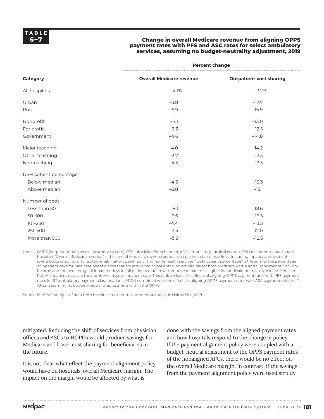#### **6–7 Change in overall Medicare revenue from aligning OPPS payment rates with PFS and ASC rates for select ambulatory services, assuming no budget-neutrality adjustment, 2019**

**Percent change**

|                        | Percent change                  |                                |  |  |
|------------------------|---------------------------------|--------------------------------|--|--|
| Category               | <b>Overall Medicare revenue</b> | <b>Outpatient cost sharing</b> |  |  |
| All hospitals          | $-4.1%$                         | $-13.2%$                       |  |  |
| Urban                  | $-3.8$                          | $-12.7$                        |  |  |
| Rural                  | $-6.9$                          | $-16.9$                        |  |  |
| Nonprofit              | $-4.1$                          | $-13.0$                        |  |  |
| For profit             | $-3.3$                          | $-12.5$                        |  |  |
| Government             | $-4.6$                          | $-14.8$                        |  |  |
| Major teaching         | $-4.0$                          | $-14.2$                        |  |  |
| Other teaching         | $-3.7$                          | $-12.3$                        |  |  |
| Nonteaching            | $-4.5$                          | $-13.3$                        |  |  |
| DSH patient percentage |                                 |                                |  |  |
| Below median           | $-4.3$                          | $-13.3$                        |  |  |
| Above median           | $-3.8$                          | $-13.1$                        |  |  |
| Number of beds         |                                 |                                |  |  |
| Less than 50           | $-8.1$                          | $-18.6$                        |  |  |
| 50-100                 | $-6.6$                          | $-16.5$                        |  |  |
| 101-250                | $-4.4$                          | $-13.5$                        |  |  |
| 251-500                | $-3.5$                          | $-12.0$                        |  |  |
| More than 500          | $-3.5$                          | $-12.5$                        |  |  |

Note: OPPS (outpatient prospective payment system), PFS (physician fee schedule), ASC (ambulatory surgical center), DSH (disproportionate share hospital). "Overall Medicare revenue" is the sum of Medicare revenue across multiple hospital service lines, including inpatient, outpatient, swing bed, skilled nursing facility, rehabilitation, psychiatric, and home health services. "DSH patient percentage" is the sum of the percentage of inpatient days for Medicare beneficiaries that are attributed to patients who are eligible for both Medicare Part A and Supplemental Security Income and the percentage of inpatient days for all patients that are attributable to patients eligible for Medicaid but not eligible for Medicare Part A. Inpatient days are the number of days of inpatient care. This table reflects the effects of aligning OPPS payment rates with PFS payment rates for 57 ambulatory payment classifications (APCs) combined with the effects of aligning OPPS payment rates with ASC payment rates for 11 APCs, assuming no budget-neutrality adjustment within the OPPS.

Source: MedPAC analysis of data from hospital cost reports and standard analytic claims files, 2019.

mitigated. Reducing the shift of services from physician offices and ASCs to HOPDs would produce savings for Medicare and lower cost sharing for beneficiaries in the future.

It is not clear what effect the payment alignment policy would have on hospitals' overall Medicare margin. The impact on the margin would be affected by what is

done with the savings from the aligned payment rates and how hospitals respond to the change in policy. If the payment alignment policy were coupled with a budget-neutral adjustment to the OPPS payment rates of the nonaligned APCs, there would be no effect on the overall Medicare margin. In contrast, if the savings from the payment alignment policy were used strictly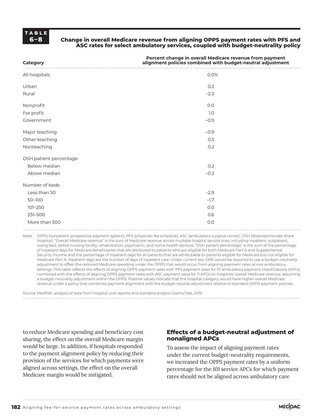**TABLE**

#### **6–8 Change in overall Medicare revenue from aligning OPPS payment rates with PFS and ASC rates for select ambulatory services, coupled with budget-neutrality policy**

| Category               | Percent change in overall Medicare revenue from payment<br>alignment policies combined with budget-neutral adjustment |  |  |
|------------------------|-----------------------------------------------------------------------------------------------------------------------|--|--|
| All hospitals          | 0.0%                                                                                                                  |  |  |
| Urban                  | 0.2                                                                                                                   |  |  |
| Rural                  | $-2.3$                                                                                                                |  |  |
| Nonprofit              | 0.0                                                                                                                   |  |  |
| For profit             | 1.0                                                                                                                   |  |  |
| Government             | $-0.9$                                                                                                                |  |  |
| Major teaching         | $-0.9$                                                                                                                |  |  |
| Other teaching         | 0.5                                                                                                                   |  |  |
| Nonteaching            | 0.2                                                                                                                   |  |  |
| DSH patient percentage |                                                                                                                       |  |  |
| Below median           | 0.2                                                                                                                   |  |  |
| Above median           | $-0.2$                                                                                                                |  |  |
| Number of beds         |                                                                                                                       |  |  |
| Less than 50           | $-2.9$                                                                                                                |  |  |
| 50-100                 | $-1.7$                                                                                                                |  |  |
| $101 - 250$            | 0.0                                                                                                                   |  |  |
| 251-500                | 0.6                                                                                                                   |  |  |
| More than 500          | 0.0                                                                                                                   |  |  |

Note: OPPS (outpatient prospective payment system), PFS (physician fee schedule), ASC (ambulatory surgical center), DSH (disproportionate share hospital). "Overall Medicare revenue" is the sum of Medicare revenue across multiple hospital service lines, including inpatient, outpatient, swing bed, skilled nursing facility, rehabilitation, psychiatric, and home health services. "DSH patient percentage" is the sum of the percentage of inpatient days for Medicare beneficiaries that are attributed to patients who are eligible for both Medicare Part A and Supplemental Security Income and the percentage of inpatient days for all patients that are attributable to patients eligible for Medicaid but not eligible for Medicare Part A. Inpatient days are the number of days of inpatient care. Under current law, CMS would be required to use a budget-neutrality adjustment to offset the reduced Medicare spending under the OPPS that would occur from aligning payment rates across ambulatory settings. This table reflects the effects of aligning OPPS payment rates with PFS payment rates for 57 ambulatory payment classifications (APCs) combined with the effects of aligning OPPS payment rates with ASC payment rates for 11 APCs on hospitals' overall Medicare revenue, assuming a budget-neutrality adjustment within the OPPS. Positive values indicate that the hospital category would have higher overall Medicare revenue under a policy that combines payment alignment with the budget-neutral adjustment relative to standard OPPS payment policies.

Source: MedPAC analysis of data from hospital cost reports and standard analytic claims files, 2019.

to reduce Medicare spending and beneficiary cost sharing, the effect on the overall Medicare margin would be large. In addition, if hospitals responded to the payment alignment policy by reducing their provision of the services for which payments were aligned across settings, the effect on the overall Medicare margin would be mitigated.

#### **Effects of a budget-neutral adjustment of nonaligned APCs**

To assess the impact of aligning payment rates under the current budget-neutrality requirements, we increased the OPPS payment rates by a uniform percentage for the 101 service APCs for which payment rates should not be aligned across ambulatory care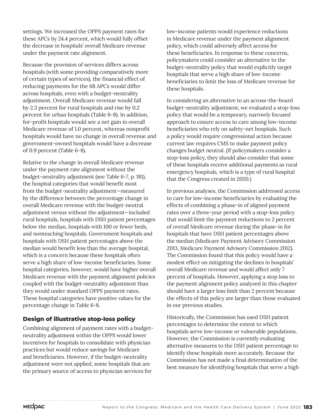settings. We increased the OPPS payment rates for these APCs by 24.4 percent, which would fully offset the decrease in hospitals' overall Medicare revenue under the payment rate alignment.

Because the provision of services differs across hospitals (with some providing comparatively more of certain types of services), the financial effect of reducing payments for the 68 APCs would differ across hospitals, even with a budget-neutrality adjustment. Overall Medicare revenue would fall by 2.3 percent for rural hospitals and rise by 0.2 percent for urban hospitals (Table 6-8). In addition, for-profit hospitals would see a net gain in overall Medicare revenue of 1.0 percent, whereas nonprofit hospitals would have no change in overall revenue and government-owned hospitals would have a decrease of 0.9 percent (Table 6-8).

Relative to the change in overall Medicare revenue under the payment rate alignment without the budget-neutrality adjustment (see Table 6-7, p. 181), the hospital categories that would benefit most from the budget-neutrality adjustment—measured by the difference between the percentage change in overall Medicare revenue with the budget-neutral adjustment versus without the adjustment—included rural hospitals, hospitals with DSH patient percentages below the median, hospitals with 100 or fewer beds, and nonteaching hospitals. Government hospitals and hospitals with DSH patient percentages above the median would benefit less than the average hospital, which is a concern because these hospitals often serve a high share of low-income beneficiaries. Some hospital categories, however, would have higher overall Medicare revenue with the payment alignment policies coupled with the budget-neutrality adjustment than they would under standard OPPS payment rates. These hospital categories have positive values for the percentage change in Table 6-8.

#### **Design of illustrative stop-loss policy**

Combining alignment of payment rates with a budgetneutrality adjustment within the OPPS would lower incentives for hospitals to consolidate with physician practices but would reduce savings for Medicare and beneficiaries. However, if the budget-neutrality adjustment were not applied, some hospitals that are the primary source of access to physician services for

low-income patients would experience reductions in Medicare revenue under the payment alignment policy, which could adversely affect access for these beneficiaries. In response to these concerns, policymakers could consider an alternative to the budget-neutrality policy that would explicitly target hospitals that serve a high share of low-income beneficiaries to limit the loss of Medicare revenue for these hospitals.

In considering an alternative to an across-the-board budget-neutrality adjustment, we evaluated a stop-loss policy that would be a temporary, narrowly focused approach to ensure access to care among low-income beneficiaries who rely on safety-net hospitals. Such a policy would require congressional action because current law requires CMS to make payment policy changes budget neutral. (If policymakers consider a stop-loss policy, they should also consider that some of these hospitals receive additional payments as rural emergency hospitals, which is a type of rural hospital that the Congress created in 2020.)

In previous analyses, the Commission addressed access to care for low-income beneficiaries by evaluating the effects of combining a phase-in of aligned payment rates over a three-year period with a stop-loss policy that would limit the payment reductions to 2 percent of overall Medicare revenue during the phase-in for hospitals that have DSH patient percentages above the median (Medicare Payment Advisory Commission 2013, Medicare Payment Advisory Commission 2012). The Commission found that this policy would have a modest effect on mitigating the declines in hospitals' overall Medicare revenue and would affect only 7 percent of hospitals. However, applying a stop loss to the payment alignment policy analyzed in this chapter should have a larger loss limit than 2 percent because the effects of this policy are larger than those evaluated in our previous studies.

Historically, the Commission has used DSH patient percentages to determine the extent to which hospitals serve low-income or vulnerable populations. However, the Commission is currently evaluating alternative measures to the DSH patient percentage to identify these hospitals more accurately. Because the Commission has not made a final determination of the best measure for identifying hospitals that serve a high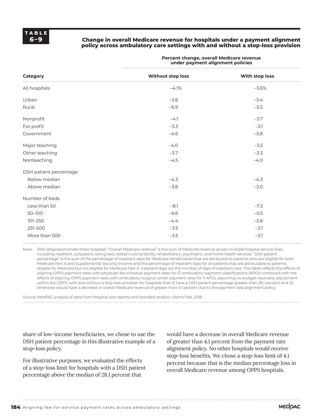

#### **6–9 Change in overall Medicare revenue for hospitals under a payment alignment policy across ambulatory care settings with and without a stop-loss provision**

| Category               | Without stop loss | With stop loss |
|------------------------|-------------------|----------------|
| All hospitals          | $-4.1%$           | $-3.6%$        |
| Urban                  | $-3.8$            | $-3.4$         |
| Rural                  | $-6.9$            | $-5.5$         |
| Nonprofit              | $-4.1$            | $-3.7$         |
| For profit             | $-3.3$            | $-3.1$         |
| Government             | $-4.6$            | $-3.8$         |
| Major teaching         | $-4.0$            | $-3.5$         |
| Other teaching         | $-3.7$            | $-3.3$         |
| Nonteaching            | $-4.5$            | $-4.0$         |
| DSH patient percentage |                   |                |
| Below median           | $-4.3$            | $-4.3$         |
| Above median           | $-3.8$            | $-3.0$         |
| Number of beds         |                   |                |
| Less than 50           | $-8.1$            | $-7.3$         |
| 50-100                 | $-6.6$            | $-5.5$         |
| 101-250                | $-4.4$            | $-3.8$         |
| 251-500                | $-3.5$            | $-3.1$         |
| More than 500          | $-3.5$            | $-3.1$         |
|                        |                   |                |

#### **Percent change, overall Medicare revenue under payment alignment policies**

Note: DSH (disproportionate share hospital). "Overall Medicare revenue" is the sum of Medicare revenue across multiple hospital service lines, including inpatient, outpatient, swing bed, skilled nursing facility, rehabilitation, psychiatric, and home health services. "DSH patient percentage" is the sum of the percentage of inpatient days for Medicare beneficiaries that are attributed to patients who are eligible for both Medicare Part A and Supplemental Security Income and the percentage of inpatient days for all patients that are attributable to patients eligible for Medicaid but not eligible for Medicare Part A. Inpatient days are the number of days of inpatient care. This table reflects the effects of aligning OPPS payment rates with physician fee schedule payment rates for 57 ambulatory payment classifications (APCs) combined with the effects of aligning OPPS payment rates with ambulatory surgical center payment rates for 11 APCs, assuming no budget-neutrality adjustment within the OPPS, with and without a stop-loss provision for hospitals that (1) have a DSH patient percentage greater than 28.1 percent and (2) otherwise would have a decrease in overall Medicare revenue of greater than 4.1 percent due to the payment rate alignment policy.

Source: MedPAC analysis of data from hospital cost reports and standard analytic claims files, 2019.

share of low-income beneficiaries, we chose to use the DSH patient percentage in this illustrative example of a stop-loss policy.

For illustrative purposes, we evaluated the effects of a stop-loss limit for hospitals with a DSH patient percentage above the median of 28.1 percent that

would have a decrease in overall Medicare revenue of greater than 4.1 percent from the payment rate alignment policy. No other hospitals would receive stop-loss benefits. We chose a stop-loss limit of 4.1 percent because that is the median percentage loss in overall Medicare revenue among OPPS hospitals.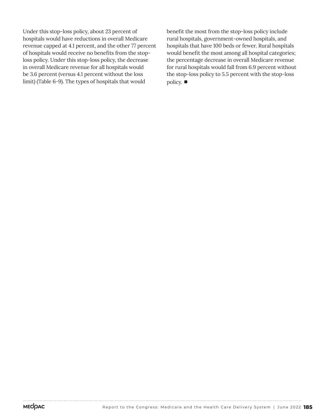Under this stop-loss policy, about 23 percent of hospitals would have reductions in overall Medicare revenue capped at 4.1 percent, and the other 77 percent of hospitals would receive no benefits from the stoploss policy. Under this stop-loss policy, the decrease in overall Medicare revenue for all hospitals would be 3.6 percent (versus 4.1 percent without the loss limit) (Table 6-9). The types of hospitals that would

benefit the most from the stop-loss policy include rural hospitals, government-owned hospitals, and hospitals that have 100 beds or fewer. Rural hospitals would benefit the most among all hospital categories; the percentage decrease in overall Medicare revenue for rural hospitals would fall from 6.9 percent without the stop-loss policy to 5.5 percent with the stop-loss policy. ■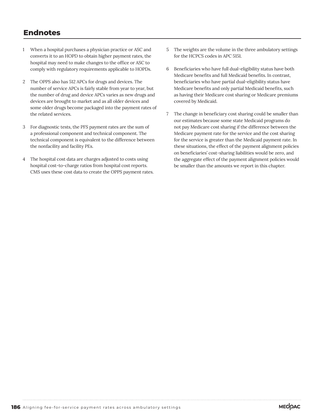# **Endnotes**

- 1 When a hospital purchases a physician practice or ASC and converts it to an HOPD to obtain higher payment rates, the hospital may need to make changes to the office or ASC to comply with regulatory requirements applicable to HOPDs.
- 2 The OPPS also has 512 APCs for drugs and devices. The number of service APCs is fairly stable from year to year, but the number of drug and device APCs varies as new drugs and devices are brought to market and as all older devices and some older drugs become packaged into the payment rates of the related services.
- 3 For diagnostic tests, the PFS payment rates are the sum of a professional component and technical component. The technical component is equivalent to the difference between the nonfacility and facility PEs.
- 4 The hospital cost data are charges adjusted to costs using hospital cost-to-charge ratios from hospital cost reports. CMS uses these cost data to create the OPPS payment rates.
- 5 The weights are the volume in the three ambulatory settings for the HCPCS codes in APC 5151.
- 6 Beneficiaries who have full dual-eligibility status have both Medicare benefits and full Medicaid benefits. In contrast, beneficiaries who have partial dual-eligibility status have Medicare benefits and only partial Medicaid benefits, such as having their Medicare cost sharing or Medicare premiums covered by Medicaid.
- 7 The change in beneficiary cost sharing could be smaller than our estimates because some state Medicaid programs do not pay Medicare cost sharing if the difference between the Medicare payment rate for the service and the cost sharing for the service is greater than the Medicaid payment rate. In these situations, the effect of the payment alignment policies on beneficiaries' cost-sharing liabilities would be zero, and the aggregate effect of the payment alignment policies would be smaller than the amounts we report in this chapter.